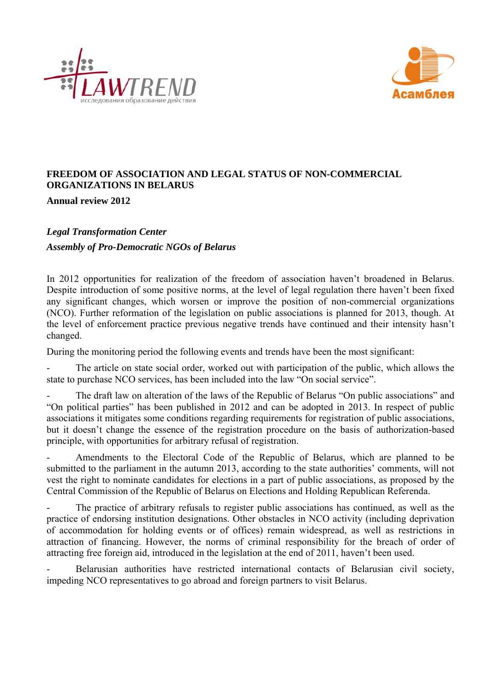



# **FREEDOM OF ASSOCIATION AND LEGAL STATUS OF NON-COMMERCIAL ORGANIZATIONS IN BELARUS**

**Annual review 2012** 

# *Legal Transformation Center Assembly of Pro-Democratic NGOs of Belarus*

In 2012 opportunities for realization of the freedom of association haven't broadened in Belarus. Despite introduction of some positive norms, at the level of legal regulation there haven't been fixed any significant changes, which worsen or improve the position of non-commercial organizations (NCO). Further reformation of the legislation on public associations is planned for 2013, though. At the level of enforcement practice previous negative trends have continued and their intensity hasn't changed.

During the monitoring period the following events and trends have been the most significant:

The article on state social order, worked out with participation of the public, which allows the state to purchase NCO services, has been included into the law "On social service".

The draft law on alteration of the laws of the Republic of Belarus "On public associations" and "On political parties" has been published in 2012 and can be adopted in 2013. In respect of public associations it mitigates some conditions regarding requirements for registration of public associations, but it doesn't change the essence of the registration procedure on the basis of authorization-based principle, with opportunities for arbitrary refusal of registration.

Amendments to the Electoral Code of the Republic of Belarus, which are planned to be submitted to the parliament in the autumn 2013, according to the state authorities' comments, will not vest the right to nominate candidates for elections in a part of public associations, as proposed by the Central Commission of the Republic of Belarus on Elections and Holding Republican Referenda.

The practice of arbitrary refusals to register public associations has continued, as well as the practice of endorsing institution designations. Other obstacles in NCO activity (including deprivation of accommodation for holding events or of offices) remain widespread, as well as restrictions in attraction of financing. However, the norms of criminal responsibility for the breach of order of attracting free foreign aid, introduced in the legislation at the end of 2011, haven't been used.

Belarusian authorities have restricted international contacts of Belarusian civil society, impeding NCO representatives to go abroad and foreign partners to visit Belarus.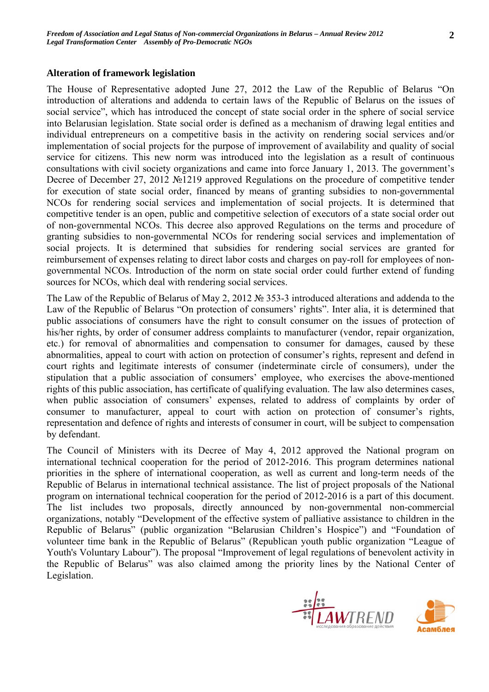# **Alteration of framework legislation**

The House of Representative adopted June 27, 2012 the Law of the Republic of Belarus "On introduction of alterations and addenda to certain laws of the Republic of Belarus on the issues of social service", which has introduced the concept of state social order in the sphere of social service into Belarusian legislation. State social order is defined as a mechanism of drawing legal entities and individual entrepreneurs on a competitive basis in the activity on rendering social services and/or implementation of social projects for the purpose of improvement of availability and quality of social service for citizens. This new norm was introduced into the legislation as a result of continuous consultations with civil society organizations and came into force January 1, 2013. The government's Decree of December 27, 2012 №1219 approved Regulations on the procedure of competitive tender for execution of state social order, financed by means of granting subsidies to non-governmental NCOs for rendering social services and implementation of social projects. It is determined that competitive tender is an open, public and competitive selection of executors of a state social order out of non-governmental NCOs. This decree also approved Regulations on the terms and procedure of granting subsidies to non-governmental NCOs for rendering social services and implementation of social projects. It is determined that subsidies for rendering social services are granted for reimbursement of expenses relating to direct labor costs and charges on pay-roll for employees of nongovernmental NCOs. Introduction of the norm on state social order could further extend of funding sources for NCOs, which deal with rendering social services.

The Law of the Republic of Belarus of May 2, 2012 № 353-3 introduced alterations and addenda to the Law of the Republic of Belarus "On protection of consumers' rights". Inter alia, it is determined that public associations of consumers have the right to consult consumer on the issues of protection of his/her rights, by order of consumer address complaints to manufacturer (vendor, repair organization, etc.) for removal of abnormalities and compensation to consumer for damages, caused by these abnormalities, appeal to court with action on protection of consumer's rights, represent and defend in court rights and legitimate interests of consumer (indeterminate circle of consumers), under the stipulation that a public association of consumers' employee, who exercises the above-mentioned rights of this public association, has certificate of qualifying evaluation. The law also determines cases, when public association of consumers' expenses, related to address of complaints by order of consumer to manufacturer, appeal to court with action on protection of consumer's rights, representation and defence of rights and interests of consumer in court, will be subject to compensation by defendant.

The Council of Ministers with its Decree of May 4, 2012 approved the National program on international technical cooperation for the period of 2012-2016. This program determines national priorities in the sphere of international cooperation, as well as current and long-term needs of the Republic of Belarus in international technical assistance. The list of project proposals of the National program on international technical cooperation for the period of 2012-2016 is a part of this document. The list includes two proposals, directly announced by non-governmental non-commercial organizations, notably "Development of the effective system of palliative assistance to children in the Republic of Belarus" (public organization "Belarusian Children's Hospice") and "Foundation of volunteer time bank in the Republic of Belarus" (Republican youth public organization "League of Youth's Voluntary Labour"). The proposal "Improvement of legal regulations of benevolent activity in the Republic of Belarus" was also claimed among the priority lines by the National Center of Legislation.



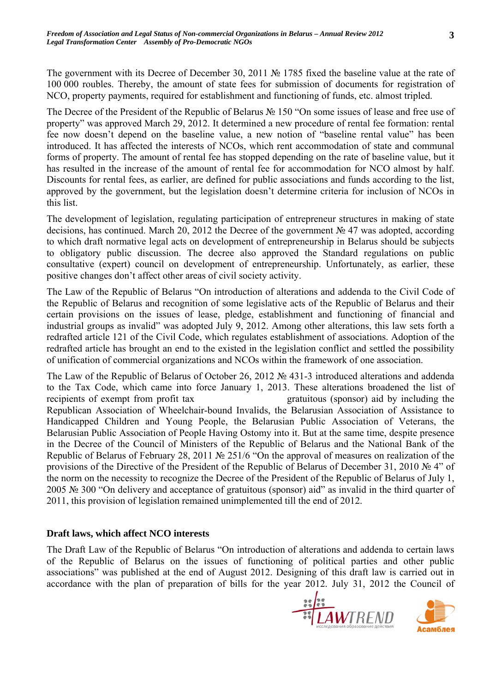The government with its Decree of December 30, 2011 № 1785 fixed the baseline value at the rate of 100 000 roubles. Thereby, the amount of state fees for submission of documents for registration of NCO, property payments, required for establishment and functioning of funds, etc. almost tripled.

The Decree of the President of the Republic of Belarus № 150 "On some issues of lease and free use of property" was approved March 29, 2012. It determined a new procedure of rental fee formation: rental fee now doesn't depend on the baseline value, a new notion of "baseline rental value" has been introduced. It has affected the interests of NCOs, which rent accommodation of state and communal forms of property. The amount of rental fee has stopped depending on the rate of baseline value, but it has resulted in the increase of the amount of rental fee for accommodation for NCO almost by half. Discounts for rental fees, as earlier, are defined for public associations and funds according to the list, approved by the government, but the legislation doesn't determine criteria for inclusion of NCOs in this list.

The development of legislation, regulating participation of entrepreneur structures in making of state decisions, has continued. March 20, 2012 the Decree of the government № 47 was adopted, according to which draft normative legal acts on development of entrepreneurship in Belarus should be subjects to obligatory public discussion. The decree also approved the Standard regulations on public consultative (expert) council on development of entrepreneurship. Unfortunately, as earlier, these positive changes don't affect other areas of civil society activity.

The Law of the Republic of Belarus "On introduction of alterations and addenda to the Civil Code of the Republic of Belarus and recognition of some legislative acts of the Republic of Belarus and their certain provisions on the issues of lease, pledge, establishment and functioning of financial and industrial groups as invalid" was adopted July 9, 2012. Among other alterations, this law sets forth a redrafted article 121 of the Civil Code, which regulates establishment of associations. Adoption of the redrafted article has brought an end to the existed in the legislation conflict and settled the possibility of unification of commercial organizations and NCOs within the framework of one association.

The Law of the Republic of Belarus of October 26, 2012 № 431-3 introduced alterations and addenda to the Tax Code, which came into force January 1, 2013. These alterations broadened the list of recipients of exempt from profit tax gratuitous (sponsor) aid by including the Republican Association of Wheelchair-bound Invalids, the Belarusian Association of Assistance to Handicapped Children and Young People, the Belarusian Public Association of Veterans, the Belarusian Public Association of People Having Ostomy into it. But at the same time, despite presence in the Decree of the Council of Ministers of the Republic of Belarus and the National Bank of the Republic of Belarus of February 28, 2011 № 251/6 "On the approval of measures on realization of the provisions of the Directive of the President of the Republic of Belarus of December 31, 2010 № 4" of the norm on the necessity to recognize the Decree of the President of the Republic of Belarus of July 1, 2005 № 300 "On delivery and acceptance of gratuitous (sponsor) aid" as invalid in the third quarter of 2011, this provision of legislation remained unimplemented till the end of 2012.

## **Draft laws, which affect NCO interests**

The Draft Law of the Republic of Belarus "On introduction of alterations and addenda to certain laws of the Republic of Belarus on the issues of functioning of political parties and other public associations" was published at the end of August 2012. Designing of this draft law is carried out in accordance with the plan of preparation of bills for the year 2012. July 31, 2012 the Council of



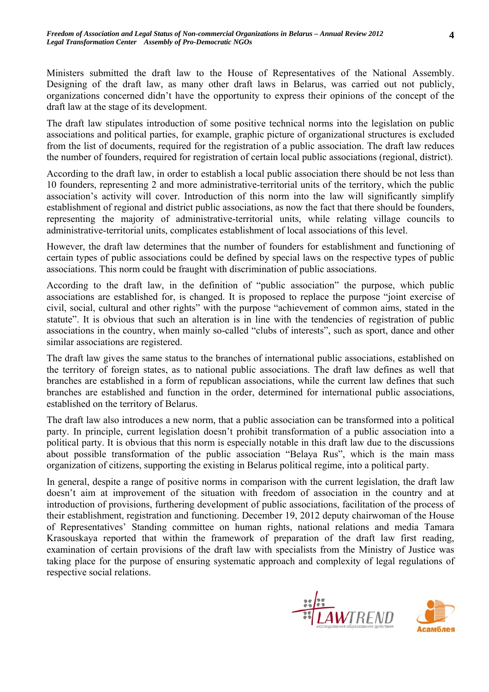Ministers submitted the draft law to the House of Representatives of the National Assembly. Designing of the draft law, as many other draft laws in Belarus, was carried out not publicly, organizations concerned didn't have the opportunity to express their opinions of the concept of the draft law at the stage of its development.

The draft law stipulates introduction of some positive technical norms into the legislation on public associations and political parties, for example, graphic picture of organizational structures is excluded from the list of documents, required for the registration of a public association. The draft law reduces the number of founders, required for registration of certain local public associations (regional, district).

According to the draft law, in order to establish a local public association there should be not less than 10 founders, representing 2 and more administrative-territorial units of the territory, which the public association's activity will cover. Introduction of this norm into the law will significantly simplify establishment of regional and district public associations, as now the fact that there should be founders, representing the majority of administrative-territorial units, while relating village councils to administrative-territorial units, complicates establishment of local associations of this level.

However, the draft law determines that the number of founders for establishment and functioning of certain types of public associations could be defined by special laws on the respective types of public associations. This norm could be fraught with discrimination of public associations.

According to the draft law, in the definition of "public association" the purpose, which public associations are established for, is changed. It is proposed to replace the purpose "joint exercise of civil, social, cultural and other rights" with the purpose "achievement of common aims, stated in the statute". It is obvious that such an alteration is in line with the tendencies of registration of public associations in the country, when mainly so-called "clubs of interests", such as sport, dance and other similar associations are registered.

The draft law gives the same status to the branches of international public associations, established on the territory of foreign states, as to national public associations. The draft law defines as well that branches are established in a form of republican associations, while the current law defines that such branches are established and function in the order, determined for international public associations, established on the territory of Belarus.

The draft law also introduces a new norm, that a public association can be transformed into a political party. In principle, current legislation doesn't prohibit transformation of a public association into a political party. It is obvious that this norm is especially notable in this draft law due to the discussions about possible transformation of the public association "Belaya Rus", which is the main mass organization of citizens, supporting the existing in Belarus political regime, into a political party.

In general, despite a range of positive norms in comparison with the current legislation, the draft law doesn't aim at improvement of the situation with freedom of association in the country and at introduction of provisions, furthering development of public associations, facilitation of the process of their establishment, registration and functioning. December 19, 2012 deputy chairwoman of the House of Representatives' Standing committee on human rights, national relations and media Tamara Krasouskaya reported that within the framework of preparation of the draft law first reading, examination of certain provisions of the draft law with specialists from the Ministry of Justice was taking place for the purpose of ensuring systematic approach and complexity of legal regulations of respective social relations.



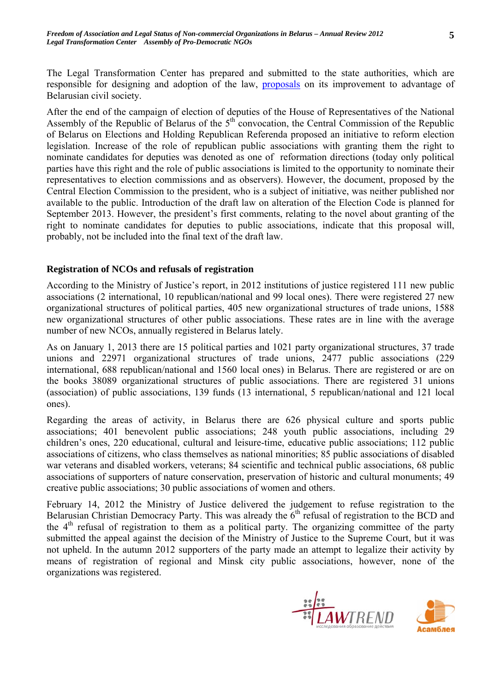**5**

The Legal Transformation Center has prepared and submitted to the state authorities, which are responsible for designing and adoption of the law, proposals on its improvement to advantage of Belarusian civil society.

After the end of the campaign of election of deputies of the House of Representatives of the National Assembly of the Republic of Belarus of the  $5<sup>th</sup>$  convocation, the Central Commission of the Republic of Belarus on Elections and Holding Republican Referenda proposed an initiative to reform election legislation. Increase of the role of republican public associations with granting them the right to nominate candidates for deputies was denoted as one of reformation directions (today only political parties have this right and the role of public associations is limited to the opportunity to nominate their representatives to election commissions and as observers). However, the document, proposed by the Central Election Commission to the president, who is a subject of initiative, was neither published nor available to the public. Introduction of the draft law on alteration of the Election Code is planned for September 2013. However, the president's first comments, relating to the novel about granting of the right to nominate candidates for deputies to public associations, indicate that this proposal will, probably, not be included into the final text of the draft law.

#### **Registration of NCOs and refusals of registration**

According to the Ministry of Justice's report, in 2012 institutions of justice registered 111 new public associations (2 international, 10 republican/national and 99 local ones). There were registered 27 new organizational structures of political parties, 405 new organizational structures of trade unions, 1588 new organizational structures of other public associations. These rates are in line with the average number of new NCOs, annually registered in Belarus lately.

As on January 1, 2013 there are 15 political parties and 1021 party organizational structures, 37 trade unions and 22971 organizational structures of trade unions, 2477 public associations (229 international, 688 republican/national and 1560 local ones) in Belarus. There are registered or are on the books 38089 organizational structures of public associations. There are registered 31 unions (association) of public associations, 139 funds (13 international, 5 republican/national and 121 local ones).

Regarding the areas of activity, in Belarus there are 626 physical culture and sports public associations; 401 benevolent public associations; 248 youth public associations, including 29 children's ones, 220 educational, cultural and leisure-time, educative public associations; 112 public associations of citizens, who class themselves as national minorities; 85 public associations of disabled war veterans and disabled workers, veterans; 84 scientific and technical public associations, 68 public associations of supporters of nature conservation, preservation of historic and cultural monuments; 49 creative public associations; 30 public associations of women and others.

February 14, 2012 the Ministry of Justice delivered the judgement to refuse registration to the Belarusian Christian Democracy Party. This was already the  $6<sup>th</sup>$  refusal of registration to the BCD and the  $4<sup>th</sup>$  refusal of registration to them as a political party. The organizing committee of the party submitted the appeal against the decision of the Ministry of Justice to the Supreme Court, but it was not upheld. In the autumn 2012 supporters of the party made an attempt to legalize their activity by means of registration of regional and Minsk city public associations, however, none of the organizations was registered.



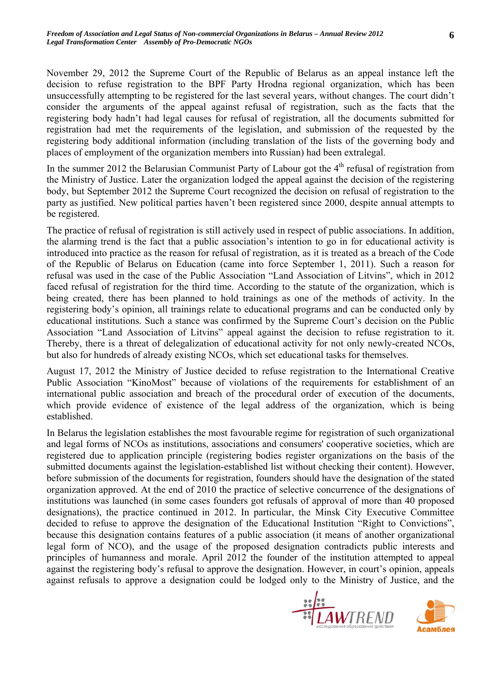November 29, 2012 the Supreme Court of the Republic of Belarus as an appeal instance left the decision to refuse registration to the BPF Party Hrodna regional organization, which has been unsuccessfully attempting to be registered for the last several years, without changes. The court didn't consider the arguments of the appeal against refusal of registration, such as the facts that the registering body hadn't had legal causes for refusal of registration, all the documents submitted for registration had met the requirements of the legislation, and submission of the requested by the registering body additional information (including translation of the lists of the governing body and places of employment of the organization members into Russian) had been extralegal.

In the summer 2012 the Belarusian Communist Party of Labour got the  $4<sup>th</sup>$  refusal of registration from the Ministry of Justice. Later the organization lodged the appeal against the decision of the registering body, but September 2012 the Supreme Court recognized the decision on refusal of registration to the party as justified. New political parties haven't been registered since 2000, despite annual attempts to be registered.

The practice of refusal of registration is still actively used in respect of public associations. In addition, the alarming trend is the fact that a public association's intention to go in for educational activity is introduced into practice as the reason for refusal of registration, as it is treated as a breach of the Code of the Republic of Belarus on Education (came into force September 1, 2011). Such a reason for refusal was used in the case of the Public Association "Land Association of Litvins", which in 2012 faced refusal of registration for the third time. According to the statute of the organization, which is being created, there has been planned to hold trainings as one of the methods of activity. In the registering body's opinion, all trainings relate to educational programs and can be conducted only by educational institutions. Such a stance was confirmed by the Supreme Court's decision on the Public Association "Land Association of Litvins" appeal against the decision to refuse registration to it. Thereby, there is a threat of delegalization of educational activity for not only newly-created NCOs, but also for hundreds of already existing NCOs, which set educational tasks for themselves.

August 17, 2012 the Ministry of Justice decided to refuse registration to the International Creative Public Association "KinoMost" because of violations of the requirements for establishment of an international public association and breach of the procedural order of execution of the documents, which provide evidence of existence of the legal address of the organization, which is being established.

In Belarus the legislation establishes the most favourable regime for registration of such organizational and legal forms of NCOs as institutions, associations and consumers' cooperative societies, which are registered due to application principle (registering bodies register organizations on the basis of the submitted documents against the legislation-established list without checking their content). However, before submission of the documents for registration, founders should have the designation of the stated organization approved. At the end of 2010 the practice of selective concurrence of the designations of institutions was launched (in some cases founders got refusals of approval of more than 40 proposed designations), the practice continued in 2012. In particular, the Minsk City Executive Committee decided to refuse to approve the designation of the Educational Institution "Right to Convictions", because this designation contains features of a public association (it means of another organizational legal form of NCO), and the usage of the proposed designation contradicts public interests and principles of humanness and morale. April 2012 the founder of the institution attempted to appeal against the registering body's refusal to approve the designation. However, in court's opinion, appeals against refusals to approve a designation could be lodged only to the Ministry of Justice, and the



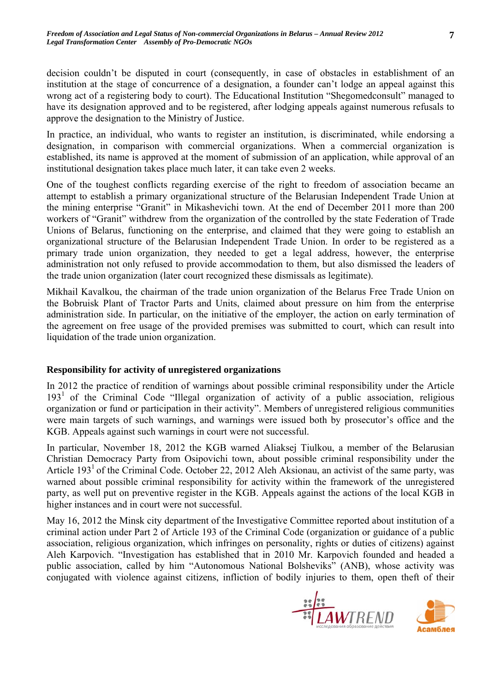decision couldn't be disputed in court (consequently, in case of obstacles in establishment of an institution at the stage of concurrence of a designation, a founder can't lodge an appeal against this wrong act of a registering body to court). The Educational Institution "Shegomedconsult" managed to have its designation approved and to be registered, after lodging appeals against numerous refusals to approve the designation to the Ministry of Justice.

In practice, an individual, who wants to register an institution, is discriminated, while endorsing a designation, in comparison with commercial organizations. When a commercial organization is established, its name is approved at the moment of submission of an application, while approval of an institutional designation takes place much later, it can take even 2 weeks.

One of the toughest conflicts regarding exercise of the right to freedom of association became an attempt to establish a primary organizational structure of the Belarusian Independent Trade Union at the mining enterprise "Granit" in Mikashevichi town. At the end of December 2011 more than 200 workers of "Granit" withdrew from the organization of the controlled by the state Federation of Trade Unions of Belarus, functioning on the enterprise, and claimed that they were going to establish an organizational structure of the Belarusian Independent Trade Union. In order to be registered as a primary trade union organization, they needed to get a legal address, however, the enterprise administration not only refused to provide accommodation to them, but also dismissed the leaders of the trade union organization (later court recognized these dismissals as legitimate).

Mikhail Kavalkou, the chairman of the trade union organization of the Belarus Free Trade Union on the Bobruisk Plant of Tractor Parts and Units, claimed about pressure on him from the enterprise administration side. In particular, on the initiative of the employer, the action on early termination of the agreement on free usage of the provided premises was submitted to court, which can result into liquidation of the trade union organization.

## **Responsibility for activity of unregistered organizations**

In 2012 the practice of rendition of warnings about possible criminal responsibility under the Article  $193<sup>1</sup>$  of the Criminal Code "Illegal organization of activity of a public association, religious organization or fund or participation in their activity". Members of unregistered religious communities were main targets of such warnings, and warnings were issued both by prosecutor's office and the KGB. Appeals against such warnings in court were not successful.

In particular, November 18, 2012 the KGB warned Aliaksej Tiulkou, a member of the Belarusian Christian Democracy Party from Osipovichi town, about possible criminal responsibility under the Article  $193<sup>1</sup>$  of the Criminal Code. October 22, 2012 Aleh Aksionau, an activist of the same party, was warned about possible criminal responsibility for activity within the framework of the unregistered party, as well put on preventive register in the KGB. Appeals against the actions of the local KGB in higher instances and in court were not successful.

May 16, 2012 the Minsk city department of the Investigative Committee reported about institution of a criminal action under Part 2 of Article 193 of the Criminal Code (organization or guidance of a public association, religious organization, which infringes on personality, rights or duties of citizens) against Aleh Karpovich. "Investigation has established that in 2010 Mr. Karpovich founded and headed a public association, called by him "Autonomous National Bolsheviks" (ANB), whose activity was conjugated with violence against citizens, infliction of bodily injuries to them, open theft of their



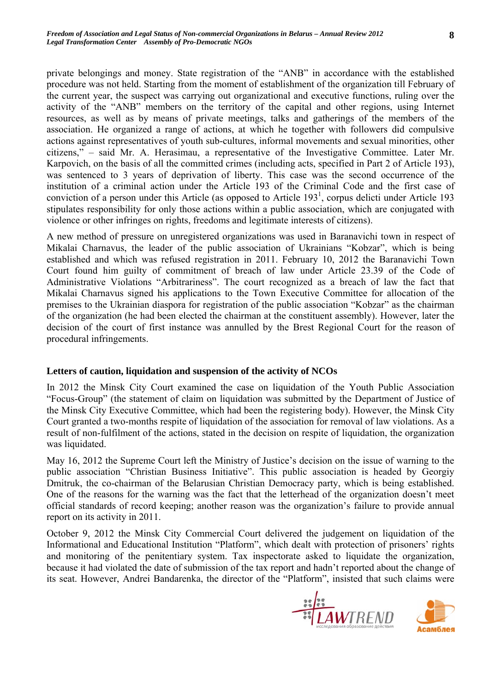private belongings and money. State registration of the "ANB" in accordance with the established procedure was not held. Starting from the moment of establishment of the organization till February of the current year, the suspect was carrying out organizational and executive functions, ruling over the activity of the "ANB" members on the territory of the capital and other regions, using Internet resources, as well as by means of private meetings, talks and gatherings of the members of the association. He organized a range of actions, at which he together with followers did compulsive actions against representatives of youth sub-cultures, informal movements and sexual minorities, other citizens," – said Mr. A. Herasimau, a representative of the Investigative Committee. Later Mr. Karpovich, on the basis of all the committed crimes (including acts, specified in Part 2 of Article 193), was sentenced to 3 years of deprivation of liberty. This case was the second occurrence of the institution of a criminal action under the Article 193 of the Criminal Code and the first case of conviction of a person under this Article (as opposed to Article  $193<sup>1</sup>$ , corpus delicti under Article 193 stipulates responsibility for only those actions within a public association, which are conjugated with violence or other infringes on rights, freedoms and legitimate interests of citizens).

A new method of pressure on unregistered organizations was used in Baranavichi town in respect of Mikalai Charnavus, the leader of the public association of Ukrainians "Kobzar", which is being established and which was refused registration in 2011. February 10, 2012 the Baranavichi Town Court found him guilty of commitment of breach of law under Article 23.39 of the Code of Administrative Violations "Arbitrariness". The court recognized as a breach of law the fact that Mikalai Charnavus signed his applications to the Town Executive Committee for allocation of the premises to the Ukrainian diaspora for registration of the public association "Kobzar" as the chairman of the organization (he had been elected the chairman at the constituent assembly). However, later the decision of the court of first instance was annulled by the Brest Regional Court for the reason of procedural infringements.

## **Letters of caution, liquidation and suspension of the activity of NCOs**

In 2012 the Minsk City Court examined the case on liquidation of the Youth Public Association "Focus-Group" (the statement of claim on liquidation was submitted by the Department of Justice of the Minsk City Executive Committee, which had been the registering body). However, the Minsk City Court granted a two-months respite of liquidation of the association for removal of law violations. As a result of non-fulfilment of the actions, stated in the decision on respite of liquidation, the organization was liquidated.

May 16, 2012 the Supreme Court left the Ministry of Justice's decision on the issue of warning to the public association "Christian Business Initiative". This public association is headed by Georgiy Dmitruk, the co-chairman of the Belarusian Christian Democracy party, which is being established. One of the reasons for the warning was the fact that the letterhead of the organization doesn't meet official standards of record keeping; another reason was the organization's failure to provide annual report on its activity in 2011.

October 9, 2012 the Minsk City Commercial Court delivered the judgement on liquidation of the Informational and Educational Institution "Platform", which dealt with protection of prisoners' rights and monitoring of the penitentiary system. Tax inspectorate asked to liquidate the organization, because it had violated the date of submission of the tax report and hadn't reported about the change of its seat. However, Andrei Bandarenka, the director of the "Platform", insisted that such claims were



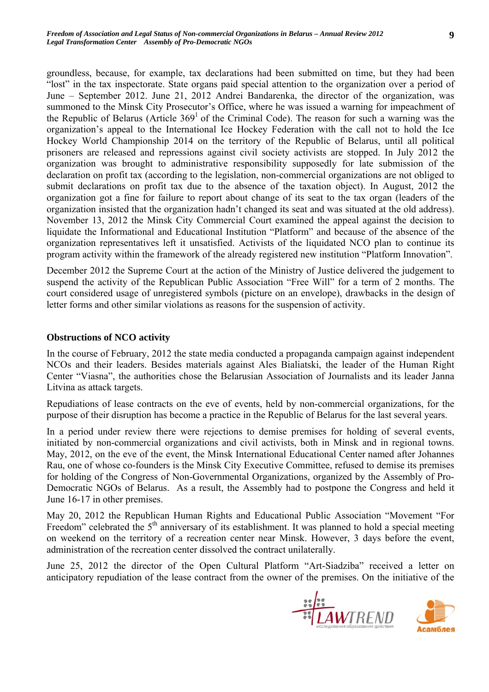groundless, because, for example, tax declarations had been submitted on time, but they had been "lost" in the tax inspectorate. State organs paid special attention to the organization over a period of June – September 2012. June 21, 2012 Andrei Bandarenka, the director of the organization, was summoned to the Minsk City Prosecutor's Office, where he was issued a warning for impeachment of the Republic of Belarus (Article  $369<sup>1</sup>$  of the Criminal Code). The reason for such a warning was the organization's appeal to the International Ice Hockey Federation with the call not to hold the Ice Hockey World Championship 2014 on the territory of the Republic of Belarus, until all political prisoners are released and repressions against civil society activists are stopped. In July 2012 the organization was brought to administrative responsibility supposedly for late submission of the declaration on profit tax (according to the legislation, non-commercial organizations are not obliged to submit declarations on profit tax due to the absence of the taxation object). In August, 2012 the organization got a fine for failure to report about change of its seat to the tax organ (leaders of the organization insisted that the organization hadn't changed its seat and was situated at the old address). November 13, 2012 the Minsk City Commercial Court examined the appeal against the decision to liquidate the Informational and Educational Institution "Platform" and because of the absence of the organization representatives left it unsatisfied. Activists of the liquidated NCO plan to continue its program activity within the framework of the already registered new institution "Platform Innovation".

December 2012 the Supreme Court at the action of the Ministry of Justice delivered the judgement to suspend the activity of the Republican Public Association "Free Will" for a term of 2 months. The court considered usage of unregistered symbols (picture on an envelope), drawbacks in the design of letter forms and other similar violations as reasons for the suspension of activity.

#### **Obstructions of NCO activity**

In the course of February, 2012 the state media conducted a propaganda campaign against independent NCOs and their leaders. Besides materials against Ales Bialiatski, the leader of the Human Right Center "Viasna", the authorities chose the Belarusian Association of Journalists and its leader Janna Litvina as attack targets.

Repudiations of lease contracts on the eve of events, held by non-commercial organizations, for the purpose of their disruption has become a practice in the Republic of Belarus for the last several years.

In a period under review there were rejections to demise premises for holding of several events, initiated by non-commercial organizations and civil activists, both in Minsk and in regional towns. May, 2012, on the eve of the event, the Minsk International Educational Center named after Johannes Rau, one of whose co-founders is the Minsk City Executive Committee, refused to demise its premises for holding of the Congress of Non-Governmental Organizations, organized by the Assembly of Pro-Democratic NGOs of Belarus. As a result, the Assembly had to postpone the Congress and held it June 16-17 in other premises.

May 20, 2012 the Republican Human Rights and Educational Public Association "Movement "For Freedom" celebrated the  $5<sup>th</sup>$  anniversary of its establishment. It was planned to hold a special meeting on weekend on the territory of a recreation center near Minsk. However, 3 days before the event, administration of the recreation center dissolved the contract unilaterally.

June 25, 2012 the director of the Open Cultural Platform "Art-Siadziba" received a letter on anticipatory repudiation of the lease contract from the owner of the premises. On the initiative of the



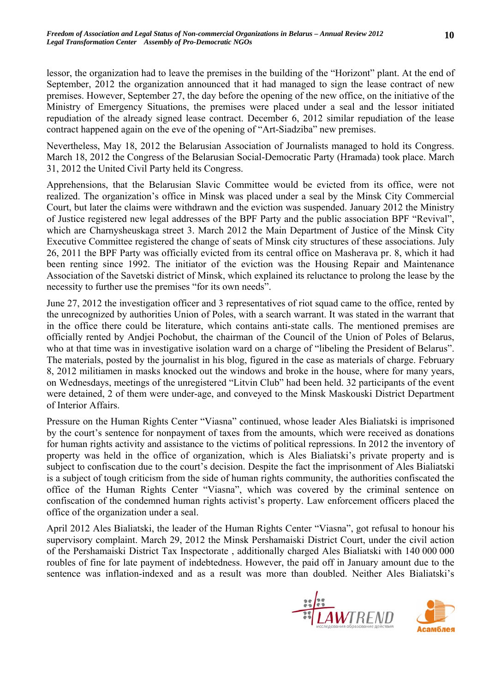lessor, the organization had to leave the premises in the building of the "Horizont" plant. At the end of September, 2012 the organization announced that it had managed to sign the lease contract of new premises. However, September 27, the day before the opening of the new office, on the initiative of the Ministry of Emergency Situations, the premises were placed under a seal and the lessor initiated repudiation of the already signed lease contract. December 6, 2012 similar repudiation of the lease contract happened again on the eve of the opening of "Art-Siadziba" new premises.

Nevertheless, May 18, 2012 the Belarusian Association of Journalists managed to hold its Congress. March 18, 2012 the Congress of the Belarusian Social-Democratic Party (Hramada) took place. March 31, 2012 the United Civil Party held its Congress.

Apprehensions, that the Belarusian Slavic Committee would be evicted from its office, were not realized. The organization's office in Minsk was placed under a seal by the Minsk City Commercial Court, but later the claims were withdrawn and the eviction was suspended. January 2012 the Ministry of Justice registered new legal addresses of the BPF Party and the public association BPF "Revival", which are Charnysheuskaga street 3. March 2012 the Main Department of Justice of the Minsk City Executive Committee registered the change of seats of Minsk city structures of these associations. July 26, 2011 the BPF Party was officially evicted from its central office on Masherava pr. 8, which it had been renting since 1992. The initiator of the eviction was the Housing Repair and Maintenance Association of the Savetski district of Minsk, which explained its reluctance to prolong the lease by the necessity to further use the premises "for its own needs".

June 27, 2012 the investigation officer and 3 representatives of riot squad came to the office, rented by the unrecognized by authorities Union of Poles, with a search warrant. It was stated in the warrant that in the office there could be literature, which contains anti-state calls. The mentioned premises are officially rented by Andjei Pochobut, the chairman of the Council of the Union of Poles of Belarus, who at that time was in investigative isolation ward on a charge of "libeling the President of Belarus". The materials, posted by the journalist in his blog, figured in the case as materials of charge. February 8, 2012 militiamen in masks knocked out the windows and broke in the house, where for many years, on Wednesdays, meetings of the unregistered "Litvin Club" had been held. 32 participants of the event were detained, 2 of them were under-age, and conveyed to the Minsk Maskouski District Department of Interior Affairs.

Pressure on the Human Rights Center "Viasna" continued, whose leader Ales Bialiatski is imprisoned by the court's sentence for nonpayment of taxes from the amounts, which were received as donations for human rights activity and assistance to the victims of political repressions. In 2012 the inventory of property was held in the office of organization, which is Ales Bialiatski's private property and is subject to confiscation due to the court's decision. Despite the fact the imprisonment of Ales Bialiatski is a subject of tough criticism from the side of human rights community, the authorities confiscated the office of the Human Rights Center "Viasna", which was covered by the criminal sentence on confiscation of the condemned human rights activist's property. Law enforcement officers placed the office of the organization under a seal.

April 2012 Ales Bialiatski, the leader of the Human Rights Center "Viasna", got refusal to honour his supervisory complaint. March 29, 2012 the Minsk Pershamaiski District Court, under the civil action of the Pershamaiski District Tax Inspectorate , additionally charged Ales Bialiatski with 140 000 000 roubles of fine for late payment of indebtedness. However, the paid off in January amount due to the sentence was inflation-indexed and as a result was more than doubled. Neither Ales Bialiatski's



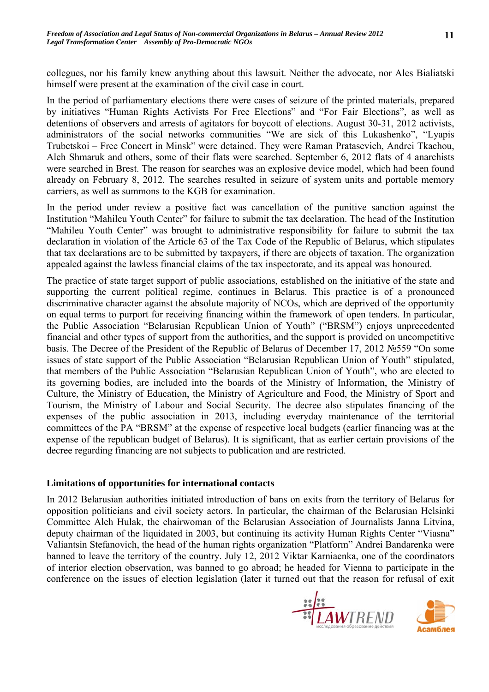collegues, nor his family knew anything about this lawsuit. Neither the advocate, nor Ales Bialiatski himself were present at the examination of the civil case in court.

In the period of parliamentary elections there were cases of seizure of the printed materials, prepared by initiatives "Human Rights Activists For Free Elections" and "For Fair Elections", as well as detentions of observers and arrests of agitators for boycott of elections. August 30-31, 2012 activists, administrators of the social networks communities "We are sick of this Lukashenko", "Lyapis Trubetskoi – Free Concert in Minsk" were detained. They were Raman Pratasevich, Andrei Tkachou, Aleh Shmaruk and others, some of their flats were searched. September 6, 2012 flats of 4 anarchists were searched in Brest. The reason for searches was an explosive device model, which had been found already on February 8, 2012. The searches resulted in seizure of system units and portable memory carriers, as well as summons to the KGB for examination.

In the period under review a positive fact was cancellation of the punitive sanction against the Institution "Mahileu Youth Center" for failure to submit the tax declaration. The head of the Institution "Mahileu Youth Center" was brought to administrative responsibility for failure to submit the tax declaration in violation of the Article 63 of the Tax Code of the Republic of Belarus, which stipulates that tax declarations are to be submitted by taxpayers, if there are objects of taxation. The organization appealed against the lawless financial claims of the tax inspectorate, and its appeal was honoured.

The practice of state target support of public associations, established on the initiative of the state and supporting the current political regime, continues in Belarus. This practice is of a pronounced discriminative character against the absolute majority of NCOs, which are deprived of the opportunity on equal terms to purport for receiving financing within the framework of open tenders. In particular, the Public Association "Belarusian Republican Union of Youth" ("BRSM") enjoys unprecedented financial and other types of support from the authorities, and the support is provided on uncompetitive basis. The Decree of the President of the Republic of Belarus of December 17, 2012 №559 "On some issues of state support of the Public Association "Belarusian Republican Union of Youth" stipulated, that members of the Public Association "Belarusian Republican Union of Youth", who are elected to its governing bodies, are included into the boards of the Ministry of Information, the Ministry of Culture, the Ministry of Education, the Ministry of Agriculture and Food, the Ministry of Sport and Tourism, the Ministry of Labour and Social Security. The decree also stipulates financing of the expenses of the public association in 2013, including everyday maintenance of the territorial committees of the PA "BRSM" at the expense of respective local budgets (earlier financing was at the expense of the republican budget of Belarus). It is significant, that as earlier certain provisions of the decree regarding financing are not subjects to publication and are restricted.

## **Limitations of opportunities for international contacts**

In 2012 Belarusian authorities initiated introduction of bans on exits from the territory of Belarus for opposition politicians and civil society actors. In particular, the chairman of the Belarusian Helsinki Committee Aleh Hulak, the chairwoman of the Belarusian Association of Journalists Janna Litvina, deputy chairman of the liquidated in 2003, but continuing its activity Human Rights Center "Viasna" Valiantsin Stefanovich, the head of the human rights organization "Platform" Andrei Bandarenka were banned to leave the territory of the country. July 12, 2012 Viktar Karniaenka, one of the coordinators of interior election observation, was banned to go abroad; he headed for Vienna to participate in the conference on the issues of election legislation (later it turned out that the reason for refusal of exit